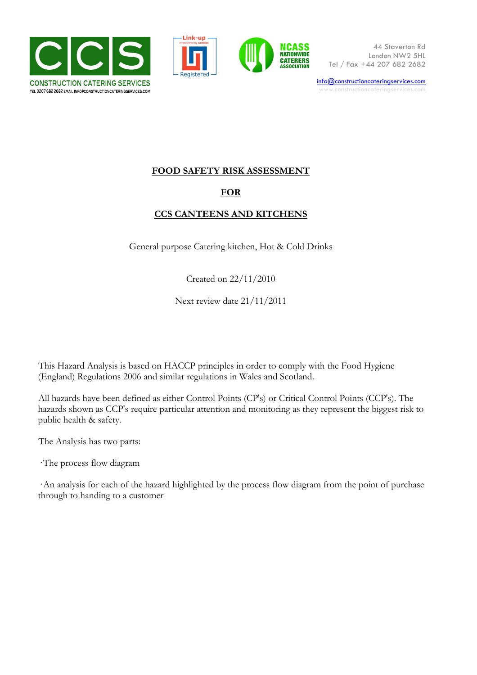





44 Staverton Rd London NW2 5HL Tel / Fax +44 207 682 2682

info@constructioncateringservices.com www.constructioncateringservices.com

### **FOOD SAFETY RISK ASSESSMENT**

#### **FOR**

### **CCS CANTEENS AND KITCHENS**

General purpose Catering kitchen, Hot & Cold Drinks

Created on 22/11/2010

Next review date 21/11/2011

This Hazard Analysis is based on HACCP principles in order to comply with the Food Hygiene (England) Regulations 2006 and similar regulations in Wales and Scotland.

All hazards have been defined as either Control Points (CP's) or Critical Control Points (CCP's). The hazards shown as CCP's require particular attention and monitoring as they represent the biggest risk to public health & safety.

The Analysis has two parts:

· The process flow diagram

·An analysis for each of the hazard highlighted by the process flow diagram from the point of purchase through to handing to a customer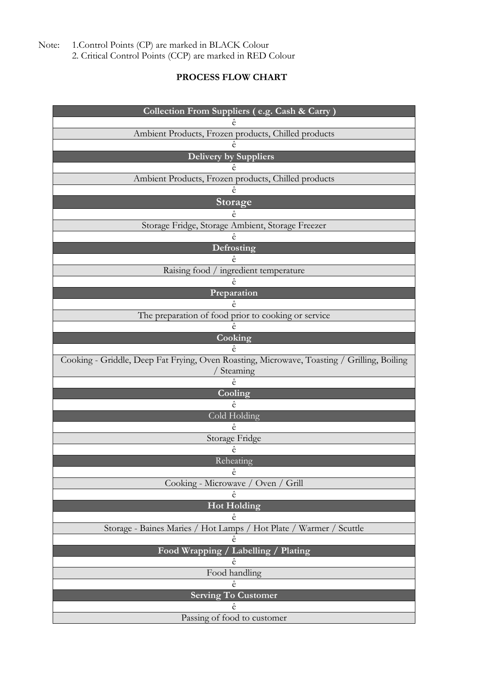1.Control Points (CP) are marked in BLACK Colour<br>2. Critical Control Points (CCP) are marked in RED Colour Note:

## PROCESS FLOW CHART

| Collection From Suppliers (e.g. Cash & Carry)                                              |  |  |  |
|--------------------------------------------------------------------------------------------|--|--|--|
|                                                                                            |  |  |  |
| Ambient Products, Frozen products, Chilled products                                        |  |  |  |
| ê                                                                                          |  |  |  |
| <b>Delivery by Suppliers</b>                                                               |  |  |  |
|                                                                                            |  |  |  |
| Ambient Products, Frozen products, Chilled products<br>ê                                   |  |  |  |
| Storage                                                                                    |  |  |  |
| ê                                                                                          |  |  |  |
| Storage Fridge, Storage Ambient, Storage Freezer                                           |  |  |  |
|                                                                                            |  |  |  |
| Defrosting                                                                                 |  |  |  |
| ê                                                                                          |  |  |  |
| Raising food / ingredient temperature                                                      |  |  |  |
| ê                                                                                          |  |  |  |
| Preparation                                                                                |  |  |  |
| ê                                                                                          |  |  |  |
| The preparation of food prior to cooking or service<br>ê                                   |  |  |  |
| Cooking                                                                                    |  |  |  |
| ê                                                                                          |  |  |  |
| Cooking - Griddle, Deep Fat Frying, Oven Roasting, Microwave, Toasting / Grilling, Boiling |  |  |  |
| Steaming                                                                                   |  |  |  |
| ê                                                                                          |  |  |  |
| Cooling                                                                                    |  |  |  |
| ê                                                                                          |  |  |  |
| Cold Holding                                                                               |  |  |  |
| ê                                                                                          |  |  |  |
| Storage Fridge<br>ê                                                                        |  |  |  |
| Reheating                                                                                  |  |  |  |
| ê                                                                                          |  |  |  |
| Cooking - Microwave<br>Oven / Grill                                                        |  |  |  |
| ê                                                                                          |  |  |  |
| <b>Hot Holding</b>                                                                         |  |  |  |
| ê                                                                                          |  |  |  |
| Storage - Baines Maries / Hot Lamps / Hot Plate / Warmer / Scuttle                         |  |  |  |
| ê                                                                                          |  |  |  |
| Food Wrapping / Labelling / Plating<br>ê                                                   |  |  |  |
| Food handling                                                                              |  |  |  |
| ê                                                                                          |  |  |  |
| <b>Serving To Customer</b>                                                                 |  |  |  |
| ê                                                                                          |  |  |  |
| Passing of food to customer                                                                |  |  |  |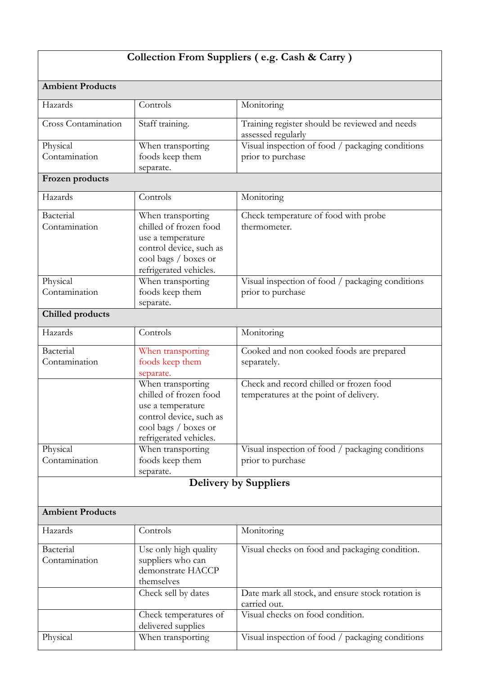# **Collection From Suppliers ( e.g. Cash & Carry )**

| <b>Ambient Products</b>    |                                                                                                                                               |                                                                                   |  |  |  |
|----------------------------|-----------------------------------------------------------------------------------------------------------------------------------------------|-----------------------------------------------------------------------------------|--|--|--|
| Hazards                    | Controls                                                                                                                                      | Monitoring                                                                        |  |  |  |
| Cross Contamination        | Staff training.                                                                                                                               | Training register should be reviewed and needs<br>assessed regularly              |  |  |  |
| Physical<br>Contamination  | When transporting<br>foods keep them<br>separate.                                                                                             | Visual inspection of food / packaging conditions<br>prior to purchase             |  |  |  |
| Frozen products            |                                                                                                                                               |                                                                                   |  |  |  |
| Hazards                    | Controls                                                                                                                                      | Monitoring                                                                        |  |  |  |
| Bacterial<br>Contamination | When transporting<br>chilled of frozen food<br>use a temperature<br>control device, such as<br>cool bags / boxes or<br>refrigerated vehicles. | Check temperature of food with probe<br>thermometer.                              |  |  |  |
| Physical<br>Contamination  | When transporting<br>foods keep them<br>separate.                                                                                             | Visual inspection of food / packaging conditions<br>prior to purchase             |  |  |  |
| <b>Chilled products</b>    |                                                                                                                                               |                                                                                   |  |  |  |
| Hazards                    | Controls                                                                                                                                      | Monitoring                                                                        |  |  |  |
| Bacterial<br>Contamination | When transporting<br>foods keep them<br>separate.                                                                                             | Cooked and non cooked foods are prepared<br>separately.                           |  |  |  |
|                            | When transporting<br>chilled of frozen food<br>use a temperature<br>control device, such as<br>cool bags / boxes or<br>refrigerated vehicles. | Check and record chilled or frozen food<br>temperatures at the point of delivery. |  |  |  |
| Physical<br>Contamination  | When transporting<br>foods keep them<br>separate.                                                                                             | Visual inspection of food / packaging conditions<br>prior to purchase             |  |  |  |
|                            |                                                                                                                                               | <b>Delivery by Suppliers</b>                                                      |  |  |  |
|                            |                                                                                                                                               |                                                                                   |  |  |  |
| <b>Ambient Products</b>    |                                                                                                                                               |                                                                                   |  |  |  |
| Hazards                    | Controls                                                                                                                                      | Monitoring                                                                        |  |  |  |
| Bacterial<br>Contamination | Use only high quality<br>suppliers who can<br>demonstrate HACCP<br>themselves                                                                 | Visual checks on food and packaging condition.                                    |  |  |  |
|                            | Check sell by dates                                                                                                                           | Date mark all stock, and ensure stock rotation is<br>carried out.                 |  |  |  |
|                            | Check temperatures of<br>delivered supplies                                                                                                   | Visual checks on food condition.                                                  |  |  |  |
| Physical                   | When transporting                                                                                                                             | Visual inspection of food / packaging conditions                                  |  |  |  |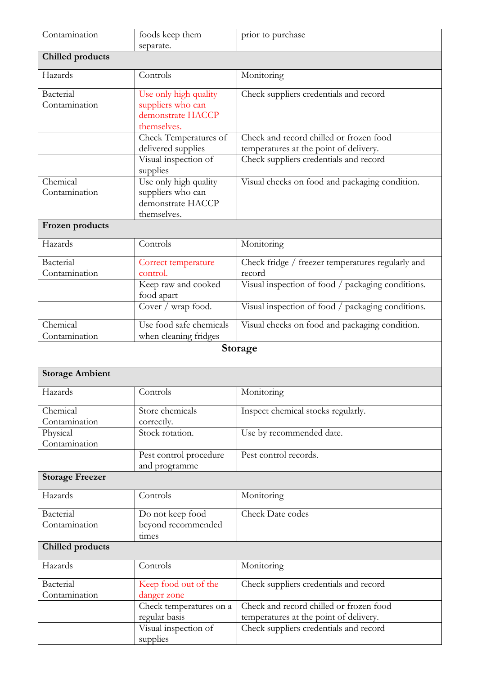| Contamination             | foods keep them<br>separate. | prior to purchase                                 |
|---------------------------|------------------------------|---------------------------------------------------|
| <b>Chilled</b> products   |                              |                                                   |
| Hazards                   | Controls                     | Monitoring                                        |
| Bacterial                 | Use only high quality        | Check suppliers credentials and record            |
| Contamination             | suppliers who can            |                                                   |
|                           | demonstrate HACCP            |                                                   |
|                           | themselves.                  |                                                   |
|                           | Check Temperatures of        | Check and record chilled or frozen food           |
|                           | delivered supplies           | temperatures at the point of delivery.            |
|                           | Visual inspection of         | Check suppliers credentials and record            |
|                           | supplies                     |                                                   |
| Chemical                  | Use only high quality        | Visual checks on food and packaging condition.    |
| Contamination             | suppliers who can            |                                                   |
|                           | demonstrate HACCP            |                                                   |
|                           | themselves.                  |                                                   |
| Frozen products           |                              |                                                   |
| Hazards                   | Controls                     | Monitoring                                        |
| Bacterial                 | Correct temperature          | Check fridge / freezer temperatures regularly and |
| Contamination             | control.                     | record                                            |
|                           | Keep raw and cooked          | Visual inspection of food / packaging conditions. |
|                           | food apart                   |                                                   |
|                           | Cover / wrap food.           | Visual inspection of food / packaging conditions. |
| Chemical                  | Use food safe chemicals      | Visual checks on food and packaging condition.    |
| Contamination             | when cleaning fridges        |                                                   |
|                           |                              | Storage                                           |
| <b>Storage Ambient</b>    |                              |                                                   |
| Hazards                   | Controls                     | Monitoring                                        |
|                           |                              |                                                   |
| Chemical                  | Store chemicals              | Inspect chemical stocks regularly.                |
| Contamination             | correctly.                   |                                                   |
| Physical<br>Contamination | Stock rotation.              | Use by recommended date.                          |
|                           | Pest control procedure       | Pest control records.                             |
|                           | and programme                |                                                   |
| <b>Storage Freezer</b>    |                              |                                                   |
| Hazards                   | Controls                     | Monitoring                                        |
| Bacterial                 | Do not keep food             | Check Date codes                                  |
| Contamination             | beyond recommended           |                                                   |
|                           | times                        |                                                   |
| <b>Chilled products</b>   |                              |                                                   |
| Hazards                   | Controls                     | Monitoring                                        |
| Bacterial                 | Keep food out of the         | Check suppliers credentials and record            |
| Contamination             | danger zone                  |                                                   |
|                           | Check temperatures on a      | Check and record chilled or frozen food           |
|                           | regular basis                | temperatures at the point of delivery.            |
|                           | Visual inspection of         | Check suppliers credentials and record            |
|                           | supplies                     |                                                   |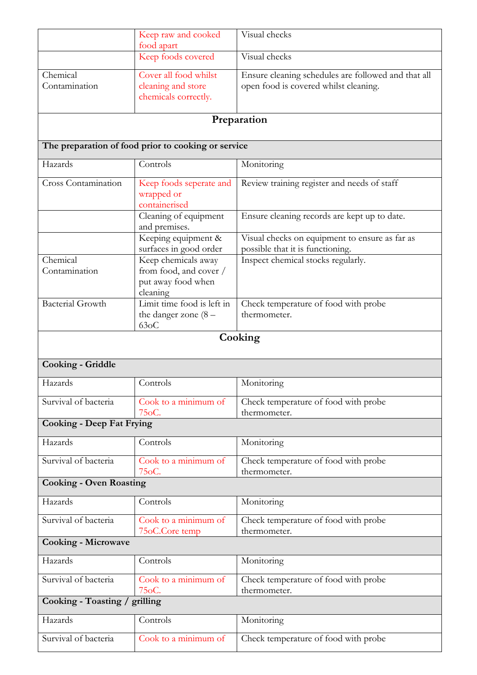|                                  | Keep raw and cooked<br>food apart                                               | Visual checks                                                                                |  |  |  |  |
|----------------------------------|---------------------------------------------------------------------------------|----------------------------------------------------------------------------------------------|--|--|--|--|
|                                  | Keep foods covered                                                              | Visual checks                                                                                |  |  |  |  |
| Chemical<br>Contamination        | Cover all food whilst<br>cleaning and store<br>chemicals correctly.             | Ensure cleaning schedules are followed and that all<br>open food is covered whilst cleaning. |  |  |  |  |
| Preparation                      |                                                                                 |                                                                                              |  |  |  |  |
|                                  | The preparation of food prior to cooking or service                             |                                                                                              |  |  |  |  |
| Hazards                          | Controls                                                                        | Monitoring                                                                                   |  |  |  |  |
| <b>Cross Contamination</b>       | Keep foods seperate and<br>wrapped or<br>containerised                          | Review training register and needs of staff                                                  |  |  |  |  |
|                                  | Cleaning of equipment<br>and premises.                                          | Ensure cleaning records are kept up to date.                                                 |  |  |  |  |
|                                  | Keeping equipment &<br>surfaces in good order                                   | Visual checks on equipment to ensure as far as<br>possible that it is functioning.           |  |  |  |  |
| Chemical<br>Contamination        | Keep chemicals away<br>from food, and cover /<br>put away food when<br>cleaning | Inspect chemical stocks regularly.                                                           |  |  |  |  |
| <b>Bacterial Growth</b>          | Limit time food is left in<br>the danger zone $(8 -$<br>63 <sub>o</sub> C       | Check temperature of food with probe<br>thermometer.                                         |  |  |  |  |
|                                  |                                                                                 | Cooking                                                                                      |  |  |  |  |
| Cooking - Griddle                |                                                                                 |                                                                                              |  |  |  |  |
| Hazards                          | Controls                                                                        | Monitoring                                                                                   |  |  |  |  |
| Survival of bacteria             | Cook to a minimum of<br>75oC.                                                   | Check temperature of food with probe<br>thermometer.                                         |  |  |  |  |
| <b>Cooking - Deep Fat Frying</b> |                                                                                 |                                                                                              |  |  |  |  |
| Hazards                          | Controls                                                                        | Monitoring                                                                                   |  |  |  |  |
| Survival of bacteria             | Cook to a minimum of<br>75oC.                                                   | Check temperature of food with probe<br>thermometer.                                         |  |  |  |  |
| <b>Cooking - Oven Roasting</b>   |                                                                                 |                                                                                              |  |  |  |  |
| Hazards                          | Controls                                                                        | Monitoring                                                                                   |  |  |  |  |
| Survival of bacteria             | Cook to a minimum of<br>75oC.Core temp                                          | Check temperature of food with probe<br>thermometer.                                         |  |  |  |  |
| <b>Cooking - Microwave</b>       |                                                                                 |                                                                                              |  |  |  |  |
| Hazards                          | Controls                                                                        | Monitoring                                                                                   |  |  |  |  |
| Survival of bacteria             | Cook to a minimum of<br>75oC.                                                   | Check temperature of food with probe<br>thermometer.                                         |  |  |  |  |
| Cooking - Toasting / grilling    |                                                                                 |                                                                                              |  |  |  |  |
| Hazards                          | Controls                                                                        | Monitoring                                                                                   |  |  |  |  |
| Survival of bacteria             | Cook to a minimum of                                                            | Check temperature of food with probe                                                         |  |  |  |  |